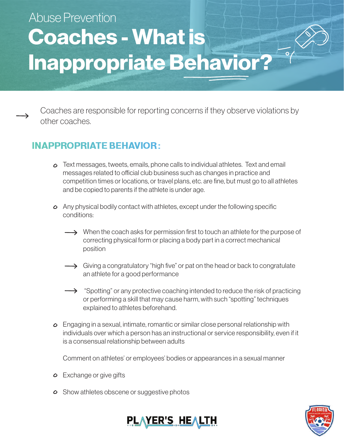## Coaches - What is Inappropriate Behavior? Abuse Prevention

Coaches are responsible for reporting concerns if they observe violations by other coaches.

## **INAPPROPRIATE BEHAVIOR:**

- Text messages, tweets, emails, phone calls to individual athletes. Text and email messages related to official club business such as changes in practice and competition times or locations, or travel plans, etc. are fine, but must go to all athletes and be copied to parents if the athlete is under age.
- Any physical bodily contact with athletes, except under the following specific conditions:
	- $\rightarrow$  When the coach asks for permission first to touch an athlete for the purpose of correcting physical form or placing a body part in a correct mechanical position
	- $\rightarrow$  Giving a congratulatory "high five" or pat on the head or back to congratulate an athlete for a good performance
	- $\rightarrow$  "Spotting" or any protective coaching intended to reduce the risk of practicing or performing a skill that may cause harm, with such "spotting" techniques explained to athletes beforehand.
- Engaging in a sexual, intimate, romantic or similar close personal relationship with individuals over which a person has an instructional or service responsibility, even if it is a consensual relationship between adults

Comment on athletes' or employees' bodies or appearances in a sexual manner

- $\circ$  Exchange or give gifts
- $\circ$  Show athletes obscene or suggestive photos